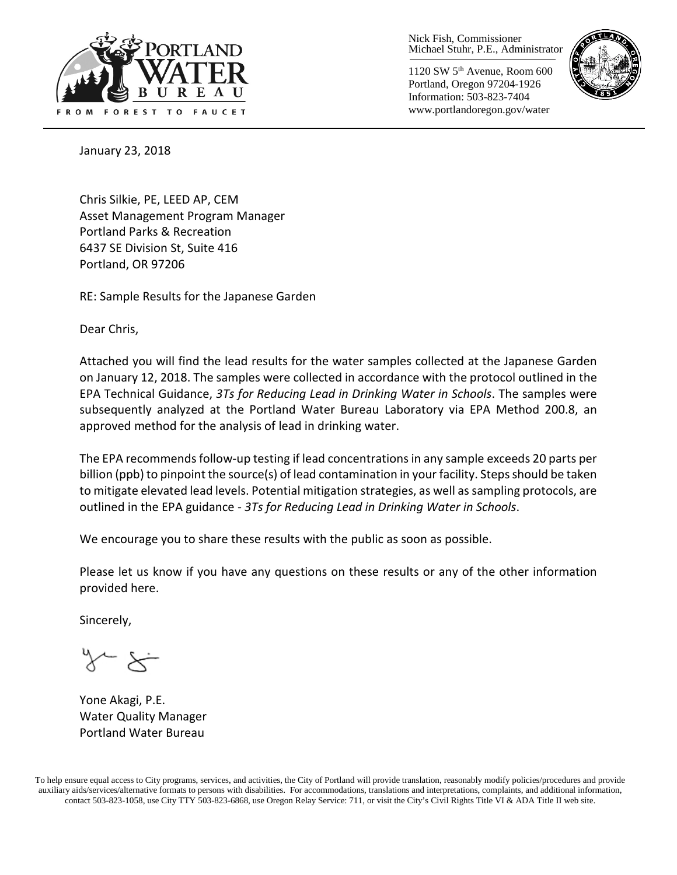

Nick Fish, Commissioner Michael Stuhr, P.E., Administrator

1120 SW 5th Avenue, Room 600 Portland, Oregon 97204-1926 Information: 503-823-7404 www.portlandoregon.gov/water



January 23, 2018

Chris Silkie, PE, LEED AP, CEM Asset Management Program Manager Portland Parks & Recreation 6437 SE Division St, Suite 416 Portland, OR 97206

RE: Sample Results for the Japanese Garden

Dear Chris,

Attached you will find the lead results for the water samples collected at the Japanese Garden on January 12, 2018. The samples were collected in accordance with the protocol outlined in the EPA Technical Guidance, *3Ts for Reducing Lead in Drinking Water in Schools*. The samples were subsequently analyzed at the Portland Water Bureau Laboratory via EPA Method 200.8, an approved method for the analysis of lead in drinking water.

The EPA recommends follow-up testing if lead concentrations in any sample exceeds 20 parts per billion (ppb) to pinpoint the source(s) of lead contamination in your facility. Steps should be taken to mitigate elevated lead levels. Potential mitigation strategies, as well as sampling protocols, are outlined in the EPA guidance - *3Ts for Reducing Lead in Drinking Water in Schools*.

We encourage you to share these results with the public as soon as possible.

Please let us know if you have any questions on these results or any of the other information provided here.

Sincerely,

Yone Akagi, P.E. Water Quality Manager Portland Water Bureau

To help ensure equal access to City programs, services, and activities, the City of Portland will provide translation, reasonably modify policies/procedures and provide auxiliary aids/services/alternative formats to persons with disabilities. For accommodations, translations and interpretations, complaints, and additional information, contact 503-823-1058, use City TTY 503-823-6868, use Oregon Relay Service: 711, or visi[t the City's Civil Rights Title VI & ADA Title II web site.](http://www.portlandoregon.gov/oehr/66458)